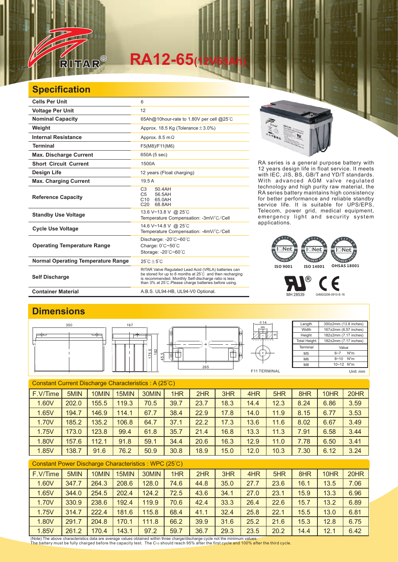

# $RA12-65$ <sup></sup>

### **Specification**

| <b>Cells Per Unit</b>                     | 6                                                                                                                                                                                                                                  |
|-------------------------------------------|------------------------------------------------------------------------------------------------------------------------------------------------------------------------------------------------------------------------------------|
| <b>Voltage Per Unit</b>                   | 12                                                                                                                                                                                                                                 |
| <b>Nominal Capacity</b>                   | 65Ah@10hour-rate to 1.80V per cell @25°C                                                                                                                                                                                           |
| Weight                                    | Approx. 18.5 Kg (Tolerance $\pm$ 3.0%)                                                                                                                                                                                             |
| <b>Internal Resistance</b>                | Approx. $8.5 \text{ m}\Omega$                                                                                                                                                                                                      |
| <b>Terminal</b>                           | F5(M8)/F11(M6)                                                                                                                                                                                                                     |
| <b>Max. Discharge Current</b>             | 650A (5 sec)                                                                                                                                                                                                                       |
| <b>Short Circuit Current</b>              | 1500A                                                                                                                                                                                                                              |
| <b>Design Life</b>                        | 12 years (Float charging)                                                                                                                                                                                                          |
| <b>Max. Charging Current</b>              | 19.5A                                                                                                                                                                                                                              |
| <b>Reference Capacity</b>                 | C <sub>3</sub><br>50 4 A H<br>C <sub>5</sub><br>56.5AH<br>C10<br>65.0AH<br>C <sub>20</sub><br>68.8AH                                                                                                                               |
| <b>Standby Use Voltage</b>                | 13.6 V~13.8 V @ 25°C<br>Temperature Compensation: -3mV/°C/Cell                                                                                                                                                                     |
| <b>Cycle Use Voltage</b>                  | 14.6 V~14.8 V @ 25°C<br>Temperature Compensation: -4mV/°C/Cell                                                                                                                                                                     |
| <b>Operating Temperature Range</b>        | Discharge: $-20^{\circ}$ C $-60^{\circ}$ C<br>Charge: 0°C~50°C<br>Storage: -20°C~60°C                                                                                                                                              |
| <b>Normal Operating Temperature Range</b> | $25^{\circ}$ C + 5 $^{\circ}$ C                                                                                                                                                                                                    |
| <b>Self Discharge</b>                     | RITAR Valve Regulated Lead Acid (VRLA) batteries can<br>be stored for up to 6 months at 25°C and then recharging<br>is recommended. Monthly Self-discharge ratio is less<br>than 3% at 25°C. Please charge batteries before using. |
| <b>Container Material</b>                 | A.B.S. UL94-HB, UL94-V0 Optional.                                                                                                                                                                                                  |



RA series is a general purpose battery with 12 years design life in float service. It meets with IEC, JIS, BS, GB/T and YD/T standards. With advanced AGM valve regulated technology and high purity raw material, the RA series battery maintains high consistency for better performance and reliable standby service life. It is suitable for UPS/EPS, Telecom, power grid, medical equipment, emergency light and security system applications.

#### $\overline{\mathbb{R}}$ Net Net EMENT SY GEMENT SYS GEMENT<sup>S</sup> **ISO 9001 ISO 14001 OHSAS 18001**

 $^\circledR$ F MH 28539 G4M20206-0910-E-16

### **Dimensions**



| Constant Current Discharge Characteristics: A (25°C) |       |       |       |       |      |      |      |      |      |      |      |      |
|------------------------------------------------------|-------|-------|-------|-------|------|------|------|------|------|------|------|------|
| F.V/Time                                             | 5MIN  | 10MIN | 15MIN | 30MIN | 1HR  | 2HR  | 3HR  | 4HR  | 5HR  | 8HR  | 10HR | 20HR |
| 1.60V                                                | 202.0 | 155.5 | 119.3 | 70.5  | 39.7 | 23.7 | 18.3 | 14.4 | 12.3 | 8.24 | 6.86 | 3.59 |
| 1.65V                                                | 194.7 | 146.9 | 114.1 | 67.7  | 38.4 | 22.9 | 17.8 | 14.0 | 11.9 | 8.15 | 6.77 | 3.53 |
| 1.70V                                                | 185.2 | 135.2 | 106.8 | 64.7  | 37.1 | 22.2 | 17.3 | 13.6 | 11.6 | 8.02 | 6.67 | 3.49 |
| 1.75V                                                | 173.0 | 123.8 | 99.4  | 61.8  | 35.7 | 21.4 | 16.8 | 13.3 | 11.3 | 7.91 | 6.58 | 3.44 |
| 1.80V                                                | 157.6 | 112.1 | 91.8  | 59.1  | 34.4 | 20.6 | 16.3 | 12.9 | 11.0 | 7.78 | 6.50 | 3.41 |
| 1.85V                                                | 138.7 | 91.6  | 76.2  | 50.9  | 30.8 | 18.9 | 15.0 | 12.0 | 10.3 | 7.30 | 6.12 | 3.24 |
|                                                      |       |       |       |       |      |      |      |      |      |      |      |      |

#### Constant Power Discharge Characteristics : WPC (25℃)

| F.V/Time | 5MIN  | 10MIN | 15MIN | 30MIN | 1HR  | 2HR  | 3HR  | 4HR  | 5HR  | 8HR  | 10HR | 20HR |
|----------|-------|-------|-------|-------|------|------|------|------|------|------|------|------|
| 1.60V    | 347.7 | 264.3 | 208.6 | 128.0 | 74.6 | 44.8 | 35.0 | 27.7 | 23.6 | 16.1 | 13.5 | 7.06 |
| 1.65V    | 344.0 | 254.5 | 202.4 | 124.2 | 72.5 | 43.6 | 34.1 | 27.0 | 23.1 | 15.9 | 13.3 | 6.96 |
| 1.70V    | 330.9 | 238.6 | 192.4 | 119.9 | 70.6 | 42.4 | 33.3 | 26.4 | 22.6 | 15.7 | 13.2 | 6.89 |
| 1.75V    | 314.7 | 222.4 | 181.6 | 115.8 | 68.4 | 41.1 | 32.4 | 25.8 | 22.1 | 15.5 | 13.0 | 6.81 |
| 1.80V    | 291.7 | 204.8 | 170.1 | 111.8 | 66.2 | 39.9 | 31.6 | 25.2 | 21.6 | 15.3 | 12.8 | 6.75 |
| 1.85V    | 261.2 | 170.4 | 143.1 | 97.2  | 59.7 | 36.7 | 29.3 | 23.5 | 20.2 | 14.4 | 12.1 | 6.42 |

(Note) The above characteristics data are average values obtained within three charge/discharge cycle not the minimum values.<br>The battery must be fully charged before the capacity test. The C10 should reach 95% after the